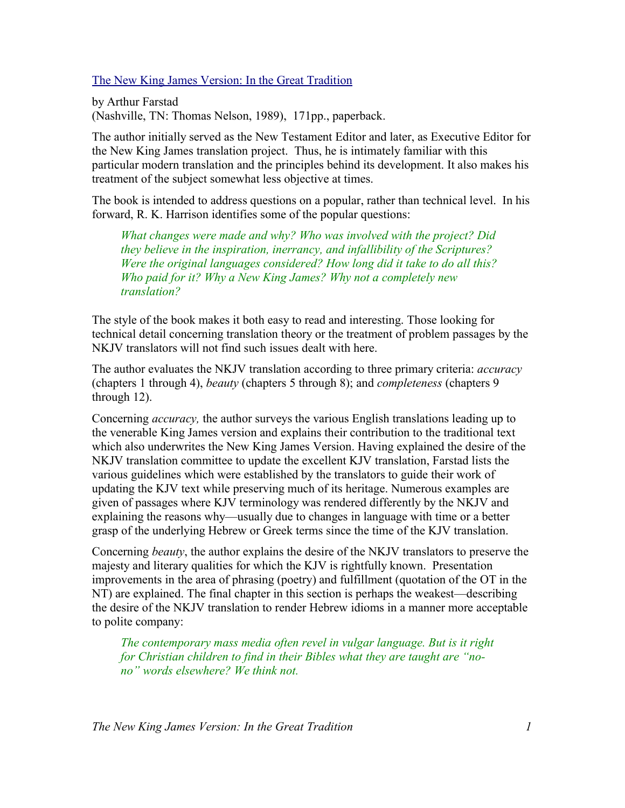The New King James Version: In the Great Tradition

by Arthur Farstad (Nashville, TN: Thomas Nelson, 1989), 171pp., paperback.

The author initially served as the New Testament Editor and later, as Executive Editor for the New King James translation project. Thus, he is intimately familiar with this particular modern translation and the principles behind its development. It also makes his treatment of the subject somewhat less objective at times.

The book is intended to address questions on a popular, rather than technical level. In his forward, R. K. Harrison identifies some of the popular questions:

*What changes were made and why? Who was involved with the project? Did they believe in the inspiration, inerrancy, and infallibility of the Scriptures? Were the original languages considered? How long did it take to do all this? Who paid for it? Why a New King James? Why not a completely new translation?*

The style of the book makes it both easy to read and interesting. Those looking for technical detail concerning translation theory or the treatment of problem passages by the NKJV translators will not find such issues dealt with here.

The author evaluates the NKJV translation according to three primary criteria: *accuracy* (chapters 1 through 4), *beauty* (chapters 5 through 8); and *completeness* (chapters 9 through 12).

Concerning *accuracy,* the author surveys the various English translations leading up to the venerable King James version and explains their contribution to the traditional text which also underwrites the New King James Version. Having explained the desire of the NKJV translation committee to update the excellent KJV translation, Farstad lists the various guidelines which were established by the translators to guide their work of updating the KJV text while preserving much of its heritage. Numerous examples are given of passages where KJV terminology was rendered differently by the NKJV and explaining the reasons why—usually due to changes in language with time or a better grasp of the underlying Hebrew or Greek terms since the time of the KJV translation.

Concerning *beauty*, the author explains the desire of the NKJV translators to preserve the majesty and literary qualities for which the KJV is rightfully known. Presentation improvements in the area of phrasing (poetry) and fulfillment (quotation of the OT in the NT) are explained. The final chapter in this section is perhaps the weakest—describing the desire of the NKJV translation to render Hebrew idioms in a manner more acceptable to polite company:

*The contemporary mass media often revel in vulgar language. But is it right for Christian children to find in their Bibles what they are taught are "nono" words elsewhere? We think not.*

*The New King James Version: In the Great Tradition 1*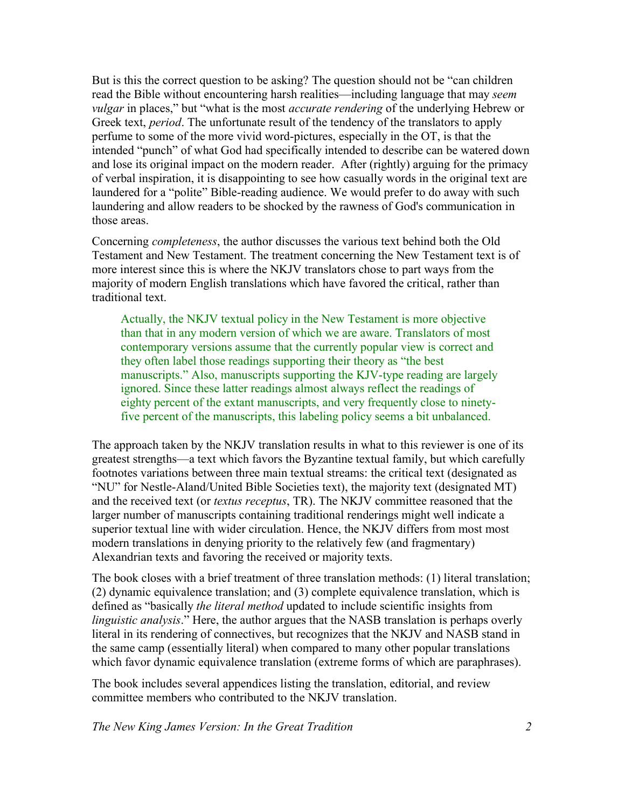But is this the correct question to be asking? The question should not be "can children read the Bible without encountering harsh realities—including language that may *seem vulgar* in places," but "what is the most *accurate rendering* of the underlying Hebrew or Greek text, *period*. The unfortunate result of the tendency of the translators to apply perfume to some of the more vivid word-pictures, especially in the OT, is that the intended "punch" of what God had specifically intended to describe can be watered down and lose its original impact on the modern reader. After (rightly) arguing for the primacy of verbal inspiration, it is disappointing to see how casually words in the original text are laundered for a "polite" Bible-reading audience. We would prefer to do away with such laundering and allow readers to be shocked by the rawness of God's communication in those areas.

Concerning *completeness*, the author discusses the various text behind both the Old Testament and New Testament. The treatment concerning the New Testament text is of more interest since this is where the NKJV translators chose to part ways from the majority of modern English translations which have favored the critical, rather than traditional text.

Actually, the NKJV textual policy in the New Testament is more objective than that in any modern version of which we are aware. Translators of most contemporary versions assume that the currently popular view is correct and they often label those readings supporting their theory as "the best manuscripts." Also, manuscripts supporting the KJV-type reading are largely ignored. Since these latter readings almost always reflect the readings of eighty percent of the extant manuscripts, and very frequently close to ninetyfive percent of the manuscripts, this labeling policy seems a bit unbalanced.

The approach taken by the NKJV translation results in what to this reviewer is one of its greatest strengths—a text which favors the Byzantine textual family, but which carefully footnotes variations between three main textual streams: the critical text (designated as "NU" for Nestle-Aland/United Bible Societies text), the majority text (designated MT) and the received text (or *textus receptus*, TR). The NKJV committee reasoned that the larger number of manuscripts containing traditional renderings might well indicate a superior textual line with wider circulation. Hence, the NKJV differs from most most modern translations in denying priority to the relatively few (and fragmentary) Alexandrian texts and favoring the received or majority texts.

The book closes with a brief treatment of three translation methods: (1) literal translation; (2) dynamic equivalence translation; and (3) complete equivalence translation, which is defined as "basically *the literal method* updated to include scientific insights from *linguistic analysis*." Here, the author argues that the NASB translation is perhaps overly literal in its rendering of connectives, but recognizes that the NKJV and NASB stand in the same camp (essentially literal) when compared to many other popular translations which favor dynamic equivalence translation (extreme forms of which are paraphrases).

The book includes several appendices listing the translation, editorial, and review committee members who contributed to the NKJV translation.

*The New King James Version: In the Great Tradition 2*